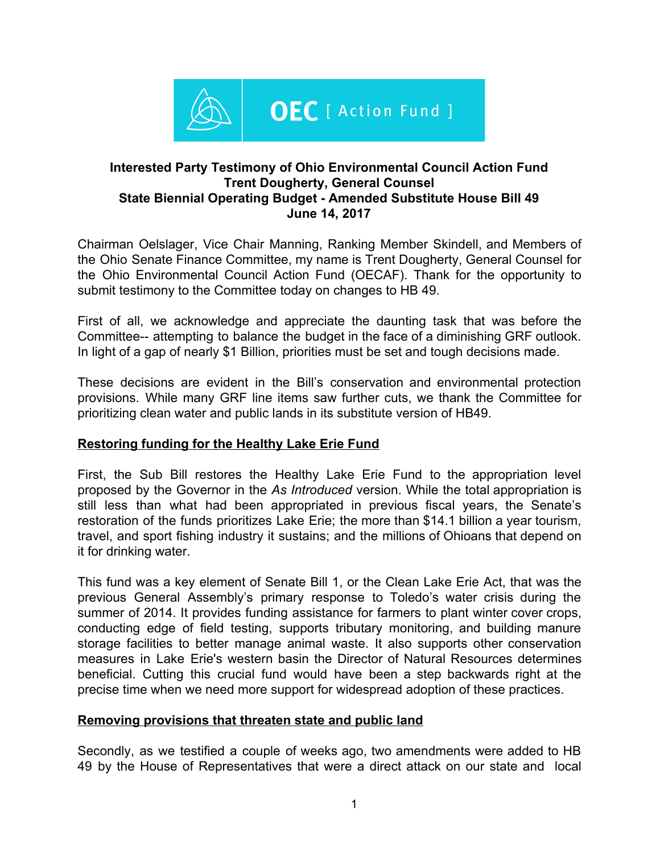

## **Interested Party Testimony of Ohio Environmental Council Action Fund Trent Dougherty, General Counsel State Biennial Operating Budget - Amended Substitute House Bill 49 June 14, 2017**

Chairman Oelslager, Vice Chair Manning, Ranking Member Skindell, and Members of the Ohio Senate Finance Committee, my name is Trent Dougherty, General Counsel for the Ohio Environmental Council Action Fund (OECAF). Thank for the opportunity to submit testimony to the Committee today on changes to HB 49.

First of all, we acknowledge and appreciate the daunting task that was before the Committee-- attempting to balance the budget in the face of a diminishing GRF outlook. In light of a gap of nearly \$1 Billion, priorities must be set and tough decisions made.

These decisions are evident in the Bill's conservation and environmental protection provisions. While many GRF line items saw further cuts, we thank the Committee for prioritizing clean water and public lands in its substitute version of HB49.

# **Restoring funding for the Healthy Lake Erie Fund**

First, the Sub Bill restores the Healthy Lake Erie Fund to the appropriation level proposed by the Governor in the *As Introduced* version. While the total appropriation is still less than what had been appropriated in previous fiscal years, the Senate's restoration of the funds prioritizes Lake Erie; the more than \$14.1 billion a year tourism, travel, and sport fishing industry it sustains; and the millions of Ohioans that depend on it for drinking water.

This fund was a key element of Senate Bill 1, or the Clean Lake Erie Act, that was the previous General Assembly's primary response to Toledo's water crisis during the summer of 2014. It provides funding assistance for farmers to plant winter cover crops, conducting edge of field testing, supports tributary monitoring, and building manure storage facilities to better manage animal waste. It also supports other conservation measures in Lake Erie's western basin the Director of Natural Resources determines beneficial. Cutting this crucial fund would have been a step backwards right at the precise time when we need more support for widespread adoption of these practices.

### **Removing provisions that threaten state and public land**

Secondly, as we testified a couple of weeks ago, two amendments were added to HB 49 by the House of Representatives that were a direct attack on our state and local